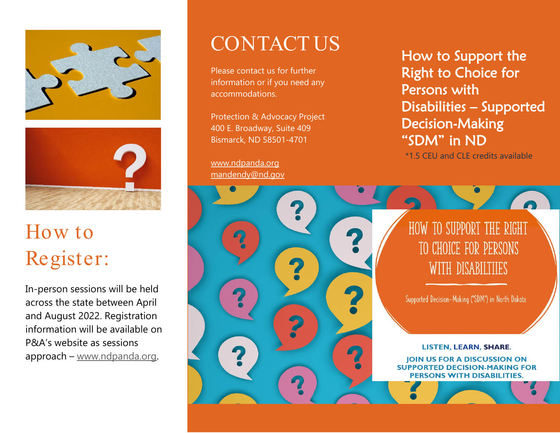



# How to Register:

In-person sessions will be held across the state between April and August 2022. Registration information will be available on P&A's website as sessions approach – [www.ndpanda.org.](http://www.ndpanda.org/)

# CONTACT US

Please contact us for further information or if you need any accommodations.

Protection & Advocacy Project 400 E. Broadway, Suite 409 Bismarck, ND 58501-4701

9.

[www.ndpanda.org](http://www.ndpanda.org/)  [mandendy@nd.gov](mailto:mandendy@nd.gov) How to Support the Right to Choice for Persons with Disabilities – Supported Decision-Making "SDM" in ND

\*1.5 CEU and CLE credits available

### HOW TO SUPPORT THE RIGHT TO CHOICE FOR PERSONS WITH DISABILTIIES

Supported Decision-Making ("SDM") in North Dakota

**LISTEN, LEARN, SHARE. JOIN US FOR A DISCUSSION ON SUPPORTED DECISION-MAKING FOR PERSONS WITH DISABILITIES.**